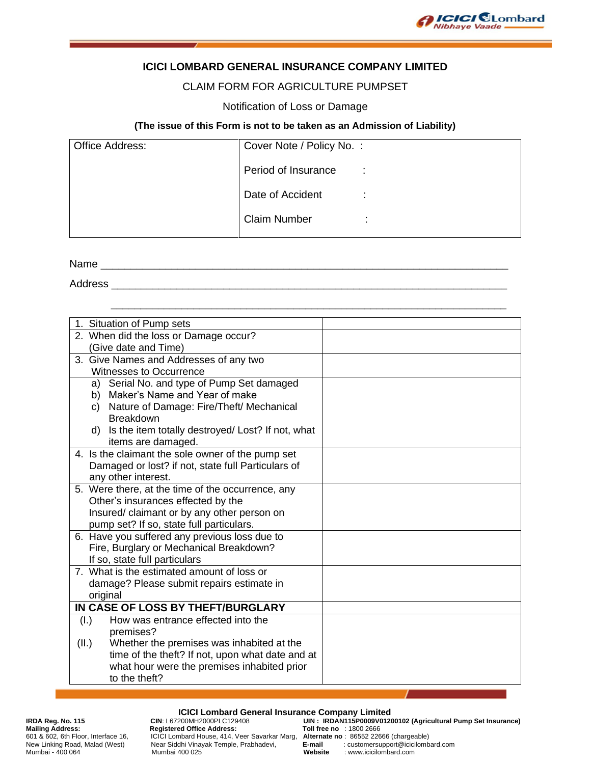

### **ICICI LOMBARD GENERAL INSURANCE COMPANY LIMITED**

### CLAIM FORM FOR AGRICULTURE PUMPSET

#### Notification of Loss or Damage

#### **(The issue of this Form is not to be taken as an Admission of Liability)**

| <b>Office Address:</b> | Cover Note / Policy No. : |                |
|------------------------|---------------------------|----------------|
|                        | Period of Insurance       | $\mathbb{R}^2$ |
|                        | Date of Accident          |                |
|                        | <b>Claim Number</b>       | ٠              |

\_\_\_\_\_\_\_\_\_\_\_\_\_\_\_\_\_\_\_\_\_\_\_\_\_\_\_\_\_\_\_\_\_\_\_\_\_\_\_\_\_\_\_\_\_\_\_\_\_\_\_\_\_\_\_\_\_\_\_\_\_\_\_\_\_\_\_

Name \_\_\_\_\_\_\_\_\_\_\_\_\_\_\_\_\_\_\_\_\_\_\_\_\_\_\_\_\_\_\_\_\_\_\_\_\_\_\_\_\_\_\_\_\_\_\_\_\_\_\_\_\_\_\_\_\_\_\_\_\_\_\_\_\_\_\_\_\_

Address \_\_\_\_\_\_\_\_\_\_\_\_\_\_\_\_\_\_\_\_\_\_\_\_\_\_\_\_\_\_\_\_\_\_\_\_\_\_\_\_\_\_\_\_\_\_\_\_\_\_\_\_\_\_\_\_\_\_\_\_\_\_\_\_\_\_\_

| 1. Situation of Pump sets                              |  |
|--------------------------------------------------------|--|
| 2. When did the loss or Damage occur?                  |  |
| (Give date and Time)                                   |  |
| 3. Give Names and Addresses of any two                 |  |
| <b>Witnesses to Occurrence</b>                         |  |
| Serial No. and type of Pump Set damaged<br>a)          |  |
| b) Maker's Name and Year of make                       |  |
| Nature of Damage: Fire/Theft/ Mechanical<br>C)         |  |
| <b>Breakdown</b>                                       |  |
| Is the item totally destroyed/Lost? If not, what<br>d) |  |
| items are damaged.                                     |  |
| 4. Is the claimant the sole owner of the pump set      |  |
| Damaged or lost? if not, state full Particulars of     |  |
| any other interest.                                    |  |
| 5. Were there, at the time of the occurrence, any      |  |
| Other's insurances effected by the                     |  |
| Insured/ claimant or by any other person on            |  |
| pump set? If so, state full particulars.               |  |
| 6. Have you suffered any previous loss due to          |  |
| Fire, Burglary or Mechanical Breakdown?                |  |
| If so, state full particulars                          |  |
| 7. What is the estimated amount of loss or             |  |
| damage? Please submit repairs estimate in              |  |
| original                                               |  |
| IN CASE OF LOSS BY THEFT/BURGLARY                      |  |
| How was entrance effected into the<br>(I.)             |  |
| premises?                                              |  |
| (II.)<br>Whether the premises was inhabited at the     |  |
| time of the theft? If not, upon what date and at       |  |
| what hour were the premises inhabited prior            |  |
| to the theft?                                          |  |

## **ICICI Lombard General Insurance Company Limited**<br>CIN: L67200MH2000PLC129408 UIN: IRDAN115P0009V0120

# Website Collection Internace 16<br>New Linking Road, Malad (West)<br>Mumbai - 400 064

**Mailing Address: Registered Office Address: Toll free no** : 1800 2666 601 & 602, 6th Floor, Interface 16, ICICI Lombard House, 414, Veer Savarkar Marg, **Alternate no** : 86552 22666 (chargeable) Near Siddhi Vinayak Temple, Prabhadevi, **E-mail** : customersupport@icicilombard.com<br>
Mumbai 400 025 **Website** : www.icicilombard.com<br>
Mumbai 400 025

IRDA Reg. No. 115 **CIN: L67200MH2000PLC129408 UIN** : IRDAN115P0009V01200102 (Agricultural Pump Set Insurance)<br>
Mailing Address: **Registered Office Address:** Toll free no : 1800 2666<br>
601 & 602, 6th Floor, Interface 16, I